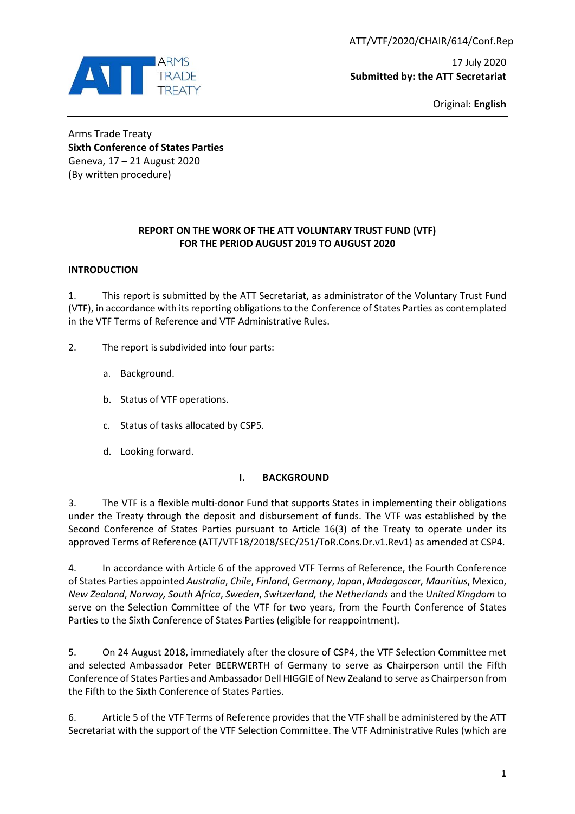ATT/VTF/2020/CHAIR/614/Conf.Rep



17 July 2020 **Submitted by: the ATT Secretariat**

Original: **English**

Arms Trade Treaty **Sixth Conference of States Parties** Geneva, 17 – 21 August 2020 (By written procedure)

#### **REPORT ON THE WORK OF THE ATT VOLUNTARY TRUST FUND (VTF) FOR THE PERIOD AUGUST 2019 TO AUGUST 2020**

#### **INTRODUCTION**

1. This report is submitted by the ATT Secretariat, as administrator of the Voluntary Trust Fund (VTF), in accordance with its reporting obligations to the Conference of States Parties as contemplated in the VTF Terms of Reference and VTF Administrative Rules.

- 2. The report is subdivided into four parts:
	- a. Background.
	- b. Status of VTF operations.
	- c. Status of tasks allocated by CSP5.
	- d. Looking forward.

#### **I. BACKGROUND**

3. The VTF is a flexible multi-donor Fund that supports States in implementing their obligations under the Treaty through the deposit and disbursement of funds. The VTF was established by the Second Conference of States Parties pursuant to Article 16(3) of the Treaty to operate under its approved Terms of Reference (ATT/VTF18/2018/SEC/251/ToR.Cons.Dr.v1.Rev1) as amended at CSP4.

4. In accordance with Article 6 of the approved VTF Terms of Reference, the Fourth Conference of States Parties appointed *Australia*, *Chile*, *Finland*, *Germany*, *Japan*, *Madagascar, Mauritius*, Mexico, *New Zealand*, *Norway, South Africa*, *Sweden*, *Switzerland, the Netherlands* and the *United Kingdom* to serve on the Selection Committee of the VTF for two years, from the Fourth Conference of States Parties to the Sixth Conference of States Parties (eligible for reappointment).

5. On 24 August 2018, immediately after the closure of CSP4, the VTF Selection Committee met and selected Ambassador Peter BEERWERTH of Germany to serve as Chairperson until the Fifth Conference of States Parties and Ambassador Dell HIGGIE of New Zealand to serve as Chairperson from the Fifth to the Sixth Conference of States Parties.

6. Article 5 of the VTF Terms of Reference provides that the VTF shall be administered by the ATT Secretariat with the support of the VTF Selection Committee. The VTF Administrative Rules (which are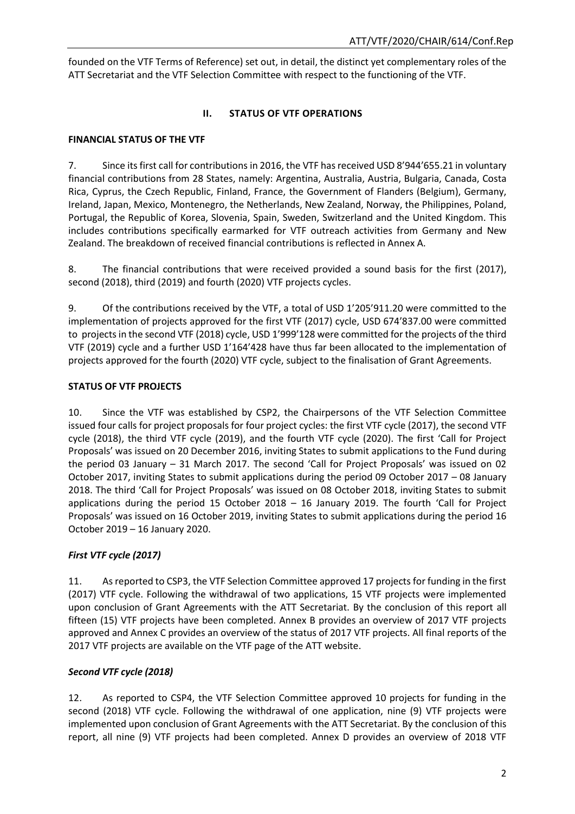founded on the VTF Terms of Reference) set out, in detail, the distinct yet complementary roles of the ATT Secretariat and the VTF Selection Committee with respect to the functioning of the VTF.

## **II. STATUS OF VTF OPERATIONS**

## **FINANCIAL STATUS OF THE VTF**

7. Since its first call for contributions in 2016, the VTF has received USD 8'944'655.21 in voluntary financial contributions from 28 States, namely: Argentina, Australia, Austria, Bulgaria, Canada, Costa Rica, Cyprus, the Czech Republic, Finland, France, the Government of Flanders (Belgium), Germany, Ireland, Japan, Mexico, Montenegro, the Netherlands, New Zealand, Norway, the Philippines, Poland, Portugal, the Republic of Korea, Slovenia, Spain, Sweden, Switzerland and the United Kingdom. This includes contributions specifically earmarked for VTF outreach activities from Germany and New Zealand. The breakdown of received financial contributions is reflected in Annex A.

8. The financial contributions that were received provided a sound basis for the first (2017), second (2018), third (2019) and fourth (2020) VTF projects cycles.

9. Of the contributions received by the VTF, a total of USD 1'205'911.20 were committed to the implementation of projects approved for the first VTF (2017) cycle, USD 674'837.00 were committed to projects in the second VTF (2018) cycle, USD 1'999'128 were committed for the projects of the third VTF (2019) cycle and a further USD 1'164'428 have thus far been allocated to the implementation of projects approved for the fourth (2020) VTF cycle, subject to the finalisation of Grant Agreements.

## **STATUS OF VTF PROJECTS**

10. Since the VTF was established by CSP2, the Chairpersons of the VTF Selection Committee issued four calls for project proposals for four project cycles: the first VTF cycle (2017), the second VTF cycle (2018), the third VTF cycle (2019), and the fourth VTF cycle (2020). The first 'Call for Project Proposals' was issued on 20 December 2016, inviting States to submit applications to the Fund during the period 03 January – 31 March 2017. The second 'Call for Project Proposals' was issued on 02 October 2017, inviting States to submit applications during the period 09 October 2017 – 08 January 2018. The third 'Call for Project Proposals' was issued on 08 October 2018, inviting States to submit applications during the period 15 October 2018 – 16 January 2019. The fourth 'Call for Project Proposals' was issued on 16 October 2019, inviting States to submit applications during the period 16 October 2019 – 16 January 2020.

## *First VTF cycle (2017)*

11. As reported to CSP3, the VTF Selection Committee approved 17 projects for funding in the first (2017) VTF cycle. Following the withdrawal of two applications, 15 VTF projects were implemented upon conclusion of Grant Agreements with the ATT Secretariat. By the conclusion of this report all fifteen (15) VTF projects have been completed. Annex B provides an overview of 2017 VTF projects approved and Annex C provides an overview of the status of 2017 VTF projects. All final reports of the 2017 VTF projects are available on the VTF page of the ATT website.

## *Second VTF cycle (2018)*

12. As reported to CSP4, the VTF Selection Committee approved 10 projects for funding in the second (2018) VTF cycle. Following the withdrawal of one application, nine (9) VTF projects were implemented upon conclusion of Grant Agreements with the ATT Secretariat. By the conclusion of this report, all nine (9) VTF projects had been completed. Annex D provides an overview of 2018 VTF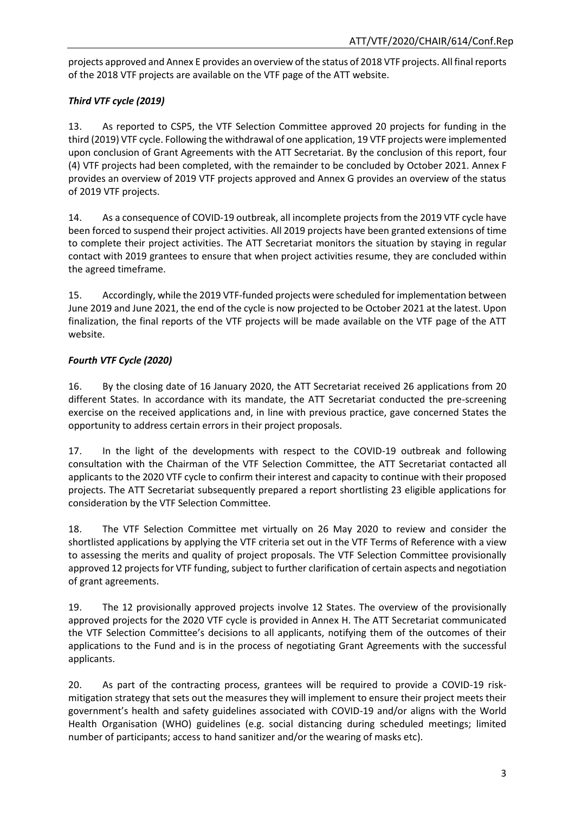projects approved and Annex E provides an overview of the status of 2018 VTF projects. All final reports of the 2018 VTF projects are available on the VTF page of the ATT website.

## *Third VTF cycle (2019)*

13. As reported to CSP5, the VTF Selection Committee approved 20 projects for funding in the third (2019) VTF cycle. Following the withdrawal of one application, 19 VTF projects were implemented upon conclusion of Grant Agreements with the ATT Secretariat. By the conclusion of this report, four (4) VTF projects had been completed, with the remainder to be concluded by October 2021. Annex F provides an overview of 2019 VTF projects approved and Annex G provides an overview of the status of 2019 VTF projects.

14. As a consequence of COVID-19 outbreak, all incomplete projects from the 2019 VTF cycle have been forced to suspend their project activities. All 2019 projects have been granted extensions of time to complete their project activities. The ATT Secretariat monitors the situation by staying in regular contact with 2019 grantees to ensure that when project activities resume, they are concluded within the agreed timeframe.

15. Accordingly, while the 2019 VTF-funded projects were scheduled for implementation between June 2019 and June 2021, the end of the cycle is now projected to be October 2021 at the latest. Upon finalization, the final reports of the VTF projects will be made available on the VTF page of the ATT website.

## *Fourth VTF Cycle (2020)*

16. By the closing date of 16 January 2020, the ATT Secretariat received 26 applications from 20 different States. In accordance with its mandate, the ATT Secretariat conducted the pre-screening exercise on the received applications and, in line with previous practice, gave concerned States the opportunity to address certain errors in their project proposals.

17. In the light of the developments with respect to the COVID-19 outbreak and following consultation with the Chairman of the VTF Selection Committee, the ATT Secretariat contacted all applicants to the 2020 VTF cycle to confirm their interest and capacity to continue with their proposed projects. The ATT Secretariat subsequently prepared a report shortlisting 23 eligible applications for consideration by the VTF Selection Committee.

18. The VTF Selection Committee met virtually on 26 May 2020 to review and consider the shortlisted applications by applying the VTF criteria set out in the VTF Terms of Reference with a view to assessing the merits and quality of project proposals. The VTF Selection Committee provisionally approved 12 projects for VTF funding, subject to further clarification of certain aspects and negotiation of grant agreements.

19. The 12 provisionally approved projects involve 12 States. The overview of the provisionally approved projects for the 2020 VTF cycle is provided in Annex H. The ATT Secretariat communicated the VTF Selection Committee's decisions to all applicants, notifying them of the outcomes of their applications to the Fund and is in the process of negotiating Grant Agreements with the successful applicants.

20. As part of the contracting process, grantees will be required to provide a COVID-19 riskmitigation strategy that sets out the measures they will implement to ensure their project meets their government's health and safety guidelines associated with COVID-19 and/or aligns with the World Health Organisation (WHO) guidelines (e.g. social distancing during scheduled meetings; limited number of participants; access to hand sanitizer and/or the wearing of masks etc).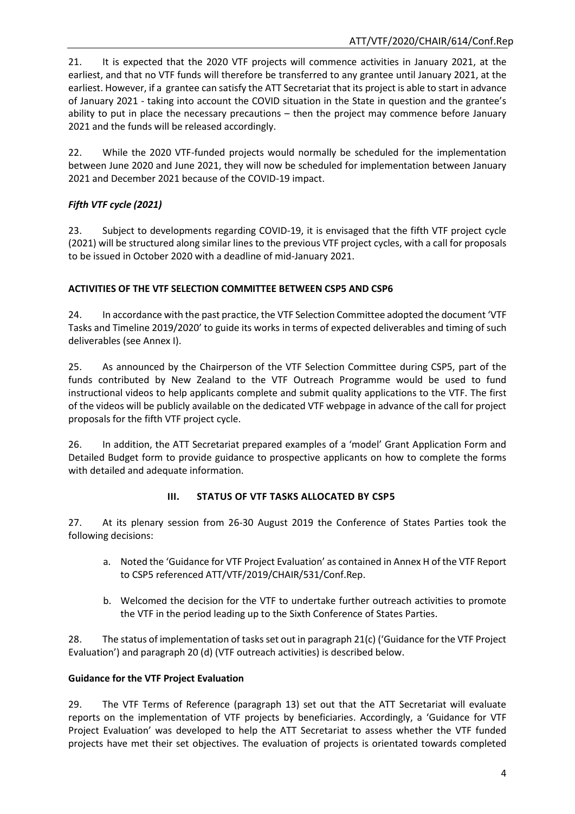21. It is expected that the 2020 VTF projects will commence activities in January 2021, at the earliest, and that no VTF funds will therefore be transferred to any grantee until January 2021, at the earliest. However, if a grantee can satisfy the ATT Secretariat that its project is able to start in advance of January 2021 - taking into account the COVID situation in the State in question and the grantee's ability to put in place the necessary precautions – then the project may commence before January 2021 and the funds will be released accordingly.

22. While the 2020 VTF-funded projects would normally be scheduled for the implementation between June 2020 and June 2021, they will now be scheduled for implementation between January 2021 and December 2021 because of the COVID-19 impact.

## *Fifth VTF cycle (2021)*

23. Subject to developments regarding COVID-19, it is envisaged that the fifth VTF project cycle (2021) will be structured along similar lines to the previous VTF project cycles, with a call for proposals to be issued in October 2020 with a deadline of mid-January 2021.

## **ACTIVITIES OF THE VTF SELECTION COMMITTEE BETWEEN CSP5 AND CSP6**

24. In accordance with the past practice, the VTF Selection Committee adopted the document 'VTF Tasks and Timeline 2019/2020' to guide its works in terms of expected deliverables and timing of such deliverables (see Annex I).

25. As announced by the Chairperson of the VTF Selection Committee during CSP5, part of the funds contributed by New Zealand to the VTF Outreach Programme would be used to fund instructional videos to help applicants complete and submit quality applications to the VTF. The first of the videos will be publicly available on the dedicated VTF webpage in advance of the call for project proposals for the fifth VTF project cycle.

26. In addition, the ATT Secretariat prepared examples of a 'model' Grant Application Form and Detailed Budget form to provide guidance to prospective applicants on how to complete the forms with detailed and adequate information.

## **III. STATUS OF VTF TASKS ALLOCATED BY CSP5**

27. At its plenary session from 26-30 August 2019 the Conference of States Parties took the following decisions:

- a. Noted the 'Guidance for VTF Project Evaluation' as contained in Annex H of the VTF Report to CSP5 referenced ATT/VTF/2019/CHAIR/531/Conf.Rep.
- b. Welcomed the decision for the VTF to undertake further outreach activities to promote the VTF in the period leading up to the Sixth Conference of States Parties.

28. The status of implementation of tasks set out in paragraph 21(c) ('Guidance for the VTF Project Evaluation') and paragraph 20 (d) (VTF outreach activities) is described below.

## **Guidance for the VTF Project Evaluation**

29. The VTF Terms of Reference (paragraph 13) set out that the ATT Secretariat will evaluate reports on the implementation of VTF projects by beneficiaries. Accordingly, a 'Guidance for VTF Project Evaluation' was developed to help the ATT Secretariat to assess whether the VTF funded projects have met their set objectives. The evaluation of projects is orientated towards completed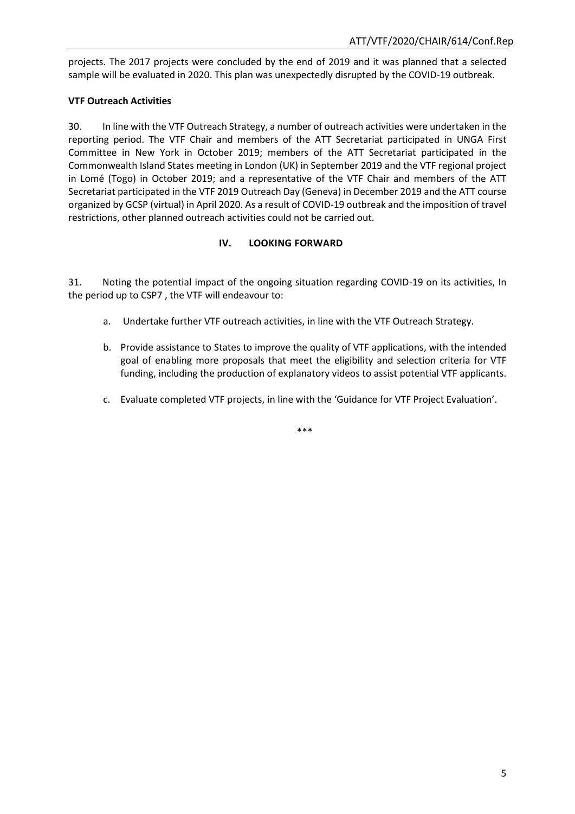projects. The 2017 projects were concluded by the end of 2019 and it was planned that a selected sample will be evaluated in 2020. This plan was unexpectedly disrupted by the COVID-19 outbreak.

## **VTF Outreach Activities**

30. In line with the VTF Outreach Strategy, a number of outreach activities were undertaken in the reporting period. The VTF Chair and members of the ATT Secretariat participated in UNGA First Committee in New York in October 2019; members of the ATT Secretariat participated in the Commonwealth Island States meeting in London (UK) in September 2019 and the VTF regional project in Lomé (Togo) in October 2019; and a representative of the VTF Chair and members of the ATT Secretariat participated in the VTF 2019 Outreach Day (Geneva) in December 2019 and the ATT course organized by GCSP (virtual) in April 2020. As a result of COVID-19 outbreak and the imposition of travel restrictions, other planned outreach activities could not be carried out.

#### **IV. LOOKING FORWARD**

31. Noting the potential impact of the ongoing situation regarding COVID-19 on its activities, In the period up to CSP7 , the VTF will endeavour to:

- a. Undertake further VTF outreach activities, in line with the VTF Outreach Strategy.
- b. Provide assistance to States to improve the quality of VTF applications, with the intended goal of enabling more proposals that meet the eligibility and selection criteria for VTF funding, including the production of explanatory videos to assist potential VTF applicants.
- c. Evaluate completed VTF projects, in line with the 'Guidance for VTF Project Evaluation'.

\*\*\*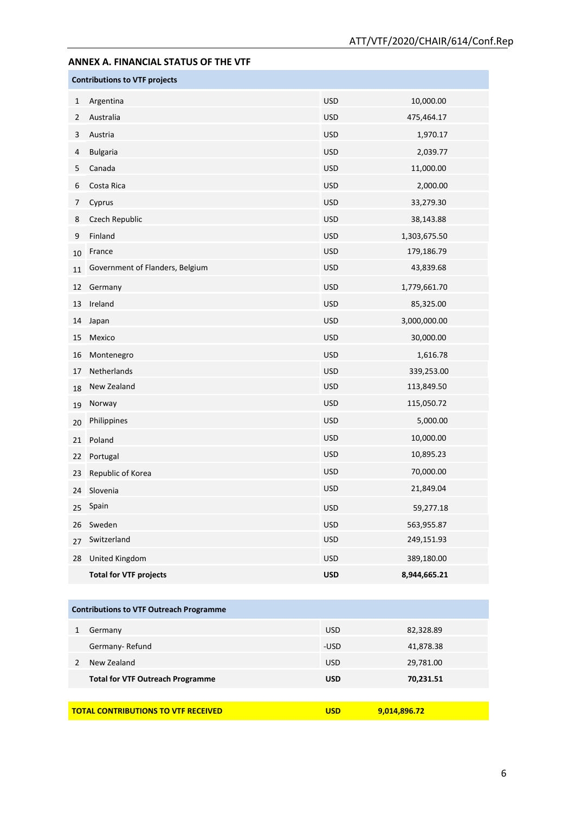# **ANNEX A. FINANCIAL STATUS OF THE VTF Contributions to VTF projects** Argentina USD 10,000.00 Australia USD 475,464.17 Austria USD 1,970.17 Bulgaria USD 2,039.77 Canada USD 11,000.00 Costa Rica USD 2,000.00 Cyprus USD 33,279.30 Czech Republic USD 38,143.88 Finland USD 1,303,675.50 10 France 179,186.79 11 Government of Flanders, Belgium and USD USD 43,839.68 Germany USD 1,779,661.70 13 Ireland 85,325.00 Japan USD 3,000,000.00 Mexico USD 30,000.00 Montenegro USD 1,616.78 Netherlands USD 339,253.00 18 New Zealand 113,849.50 Norway USD 115,050.72 Philippines USD 5,000.00 Poland USD 10,000.00 Portugal USD 10,895.23 Republic of Korea USD 70,000.00 Slovenia USD 21,849.04 Spain USD 59,277.18 Sweden USD 563,955.87 Switzerland USD 249,151.93 United Kingdom USD 389,180.00 **Total for VTF projects USD 8,944,665.21**

| <b>Contributions to VTF Outreach Programme</b>                           |            |           |  |  |  |  |
|--------------------------------------------------------------------------|------------|-----------|--|--|--|--|
| Germany                                                                  | <b>USD</b> | 82,328.89 |  |  |  |  |
| Germany-Refund                                                           | -USD       | 41,878.38 |  |  |  |  |
| New Zealand                                                              | <b>USD</b> | 29,781.00 |  |  |  |  |
| <b>Total for VTF Outreach Programme</b>                                  | <b>USD</b> | 70,231.51 |  |  |  |  |
|                                                                          |            |           |  |  |  |  |
| <b>TOTAL CONTRIBUTIONS TO VTF RECEIVED</b><br><b>USD</b><br>9,014,896.72 |            |           |  |  |  |  |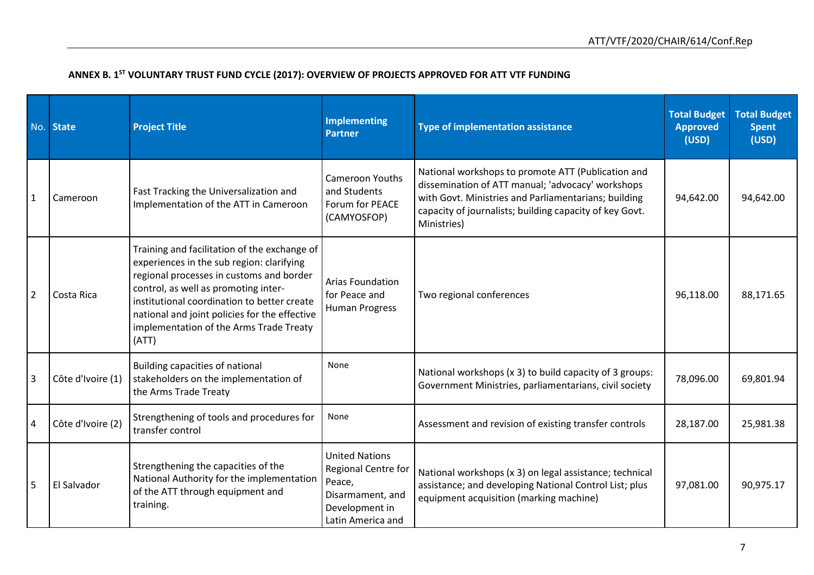| No.            | <b>State</b>      | <b>Project Title</b>                                                                                                                                                                                                                                                                                                              | <b>Implementing</b><br><b>Partner</b>                                                                             | <b>Type of implementation assistance</b>                                                                                                                                                                                                  | <b>Total Budget</b><br><b>Approved</b><br>(USD) | <b>Total Budget</b><br><b>Spent</b><br>(USD) |
|----------------|-------------------|-----------------------------------------------------------------------------------------------------------------------------------------------------------------------------------------------------------------------------------------------------------------------------------------------------------------------------------|-------------------------------------------------------------------------------------------------------------------|-------------------------------------------------------------------------------------------------------------------------------------------------------------------------------------------------------------------------------------------|-------------------------------------------------|----------------------------------------------|
| $\mathbf{1}$   | Cameroon          | Fast Tracking the Universalization and<br>Implementation of the ATT in Cameroon                                                                                                                                                                                                                                                   | Cameroon Youths<br>and Students<br>Forum for PEACE<br>(CAMYOSFOP)                                                 | National workshops to promote ATT (Publication and<br>dissemination of ATT manual; 'advocacy' workshops<br>with Govt. Ministries and Parliamentarians; building<br>capacity of journalists; building capacity of key Govt.<br>Ministries) | 94,642.00                                       | 94,642.00                                    |
| $\overline{2}$ | Costa Rica        | Training and facilitation of the exchange of<br>experiences in the sub region: clarifying<br>regional processes in customs and border<br>control, as well as promoting inter-<br>institutional coordination to better create<br>national and joint policies for the effective<br>implementation of the Arms Trade Treaty<br>(ATT) | <b>Arias Foundation</b><br>for Peace and<br><b>Human Progress</b>                                                 | Two regional conferences                                                                                                                                                                                                                  | 96,118.00                                       | 88,171.65                                    |
| 3              | Côte d'Ivoire (1) | Building capacities of national<br>stakeholders on the implementation of<br>the Arms Trade Treaty                                                                                                                                                                                                                                 | None                                                                                                              | National workshops (x 3) to build capacity of 3 groups:<br>Government Ministries, parliamentarians, civil society                                                                                                                         | 78,096.00                                       | 69,801.94                                    |
| $\overline{4}$ | Côte d'Ivoire (2) | Strengthening of tools and procedures for<br>transfer control                                                                                                                                                                                                                                                                     | None                                                                                                              | Assessment and revision of existing transfer controls                                                                                                                                                                                     | 28,187.00                                       | 25,981.38                                    |
| 5              | El Salvador       | Strengthening the capacities of the<br>National Authority for the implementation<br>of the ATT through equipment and<br>training.                                                                                                                                                                                                 | <b>United Nations</b><br>Regional Centre for<br>Peace,<br>Disarmament, and<br>Development in<br>Latin America and | National workshops (x 3) on legal assistance; technical<br>assistance; and developing National Control List; plus<br>equipment acquisition (marking machine)                                                                              | 97,081.00                                       | 90,975.17                                    |

#### **ANNEX B. 1 ST VOLUNTARY TRUST FUND CYCLE (2017): OVERVIEW OF PROJECTS APPROVED FOR ATT VTF FUNDING**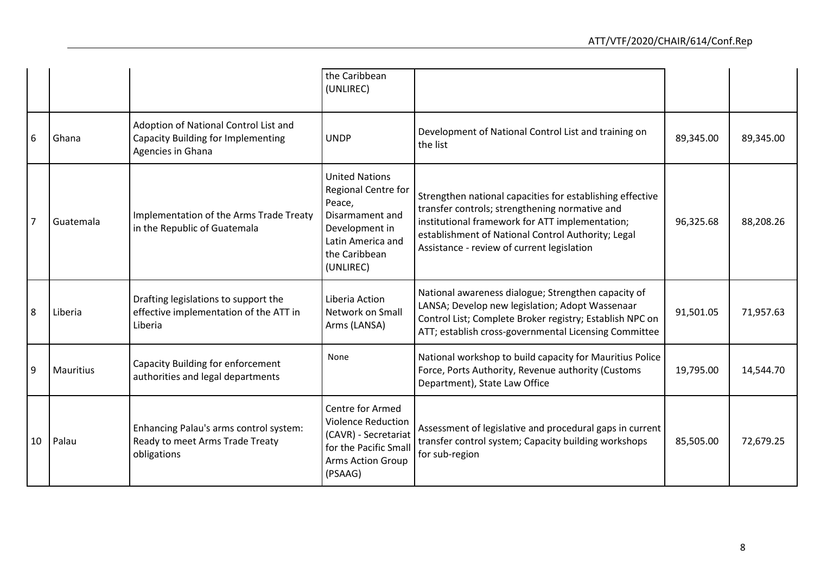|                |           |                                                                                                         | the Caribbean<br>(UNLIREC)                                                                                                                     |                                                                                                                                                                                                                                                                    |           |           |
|----------------|-----------|---------------------------------------------------------------------------------------------------------|------------------------------------------------------------------------------------------------------------------------------------------------|--------------------------------------------------------------------------------------------------------------------------------------------------------------------------------------------------------------------------------------------------------------------|-----------|-----------|
| 6              | Ghana     | Adoption of National Control List and<br><b>Capacity Building for Implementing</b><br>Agencies in Ghana | <b>UNDP</b>                                                                                                                                    | Development of National Control List and training on<br>the list                                                                                                                                                                                                   | 89,345.00 | 89,345.00 |
| $\overline{7}$ | Guatemala | Implementation of the Arms Trade Treaty<br>in the Republic of Guatemala                                 | <b>United Nations</b><br>Regional Centre for<br>Peace,<br>Disarmament and<br>Development in<br>Latin America and<br>the Caribbean<br>(UNLIREC) | Strengthen national capacities for establishing effective<br>transfer controls; strengthening normative and<br>institutional framework for ATT implementation;<br>establishment of National Control Authority; Legal<br>Assistance - review of current legislation | 96,325.68 | 88,208.26 |
| 8              | Liberia   | Drafting legislations to support the<br>effective implementation of the ATT in<br>Liberia               | Liberia Action<br>Network on Small<br>Arms (LANSA)                                                                                             | National awareness dialogue; Strengthen capacity of<br>LANSA; Develop new legislation; Adopt Wassenaar<br>Control List; Complete Broker registry; Establish NPC on<br>ATT; establish cross-governmental Licensing Committee                                        | 91,501.05 | 71,957.63 |
| 9              | Mauritius | Capacity Building for enforcement<br>authorities and legal departments                                  | None                                                                                                                                           | National workshop to build capacity for Mauritius Police<br>Force, Ports Authority, Revenue authority (Customs<br>Department), State Law Office                                                                                                                    | 19,795.00 | 14,544.70 |
| 10             | Palau     | Enhancing Palau's arms control system:<br>Ready to meet Arms Trade Treaty<br>obligations                | <b>Centre for Armed</b><br><b>Violence Reduction</b><br>(CAVR) - Secretariat<br>for the Pacific Small<br><b>Arms Action Group</b><br>(PSAAG)   | Assessment of legislative and procedural gaps in current<br>transfer control system; Capacity building workshops<br>for sub-region                                                                                                                                 | 85,505.00 | 72,679.25 |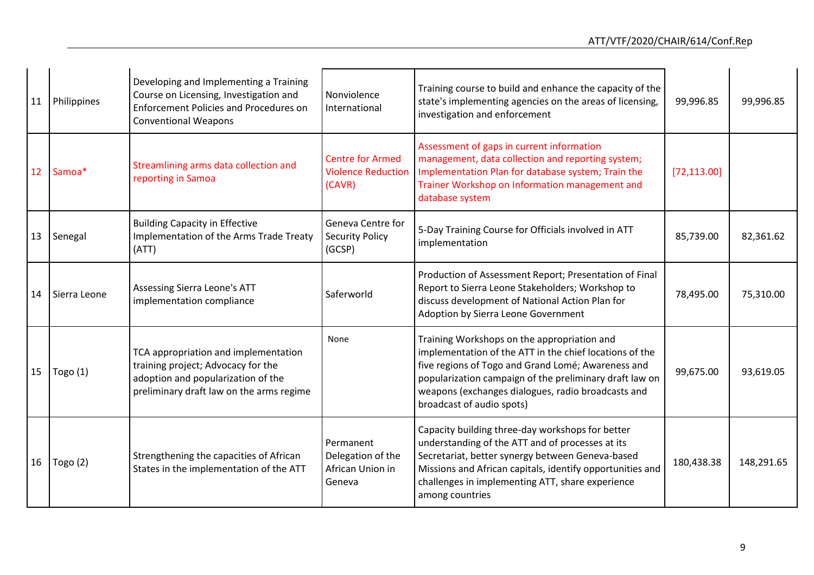| 11              | Philippines  | Developing and Implementing a Training<br>Course on Licensing, Investigation and<br><b>Enforcement Policies and Procedures on</b><br><b>Conventional Weapons</b> | Nonviolence<br>International                                   | Training course to build and enhance the capacity of the<br>state's implementing agencies on the areas of licensing,<br>investigation and enforcement                                                                                                                                                      | 99,996.85    | 99,996.85  |
|-----------------|--------------|------------------------------------------------------------------------------------------------------------------------------------------------------------------|----------------------------------------------------------------|------------------------------------------------------------------------------------------------------------------------------------------------------------------------------------------------------------------------------------------------------------------------------------------------------------|--------------|------------|
| 12 <sup>°</sup> | Samoa*       | Streamlining arms data collection and<br>reporting in Samoa                                                                                                      | <b>Centre for Armed</b><br><b>Violence Reduction</b><br>(CAVR) | Assessment of gaps in current information<br>management, data collection and reporting system;<br>Implementation Plan for database system; Train the<br>Trainer Workshop on Information management and<br>database system                                                                                  | [72, 113.00] |            |
|                 | 13   Senegal | <b>Building Capacity in Effective</b><br>Implementation of the Arms Trade Treaty<br>(ATT)                                                                        | Geneva Centre for<br><b>Security Policy</b><br>(GCSP)          | 5-Day Training Course for Officials involved in ATT<br>implementation                                                                                                                                                                                                                                      | 85,739.00    | 82,361.62  |
| 14              | Sierra Leone | Assessing Sierra Leone's ATT<br>implementation compliance                                                                                                        | Saferworld                                                     | Production of Assessment Report; Presentation of Final<br>Report to Sierra Leone Stakeholders; Workshop to<br>discuss development of National Action Plan for<br>Adoption by Sierra Leone Government                                                                                                       | 78,495.00    | 75,310.00  |
| 15              | Togo $(1)$   | TCA appropriation and implementation<br>training project; Advocacy for the<br>adoption and popularization of the<br>preliminary draft law on the arms regime     | None                                                           | Training Workshops on the appropriation and<br>implementation of the ATT in the chief locations of the<br>five regions of Togo and Grand Lomé; Awareness and<br>popularization campaign of the preliminary draft law on<br>weapons (exchanges dialogues, radio broadcasts and<br>broadcast of audio spots) | 99,675.00    | 93,619.05  |
| 16              | Togo $(2)$   | Strengthening the capacities of African<br>States in the implementation of the ATT                                                                               | Permanent<br>Delegation of the<br>African Union in<br>Geneva   | Capacity building three-day workshops for better<br>understanding of the ATT and of processes at its<br>Secretariat, better synergy between Geneva-based<br>Missions and African capitals, identify opportunities and<br>challenges in implementing ATT, share experience<br>among countries               | 180,438.38   | 148,291.65 |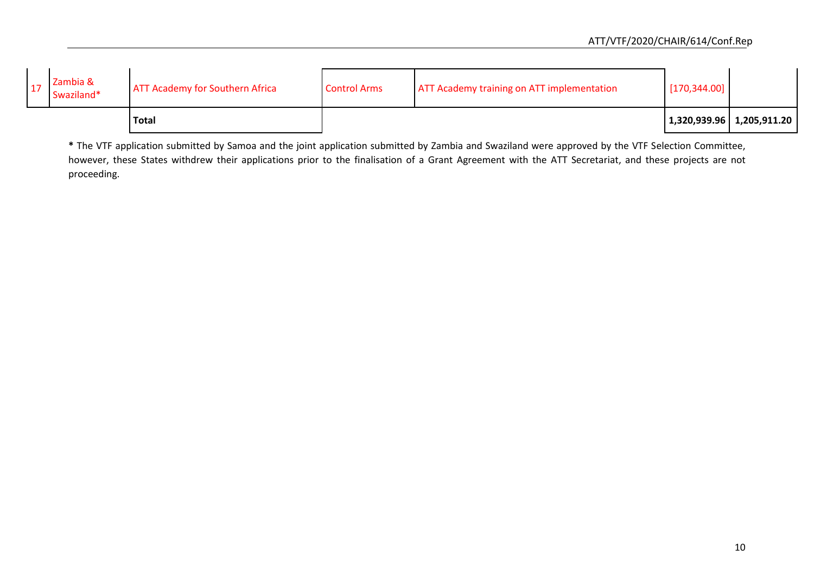|                        | <b>Total</b>                           |                     |                                                   |               | 1,320,939.96   1,205,911.20 |
|------------------------|----------------------------------------|---------------------|---------------------------------------------------|---------------|-----------------------------|
| Zambia &<br>Swaziland* | <b>ATT Academy for Southern Africa</b> | <b>Control Arms</b> | <b>ATT Academy training on ATT implementation</b> | [170, 344.00] |                             |

**\*** The VTF application submitted by Samoa and the joint application submitted by Zambia and Swaziland were approved by the VTF Selection Committee, however, these States withdrew their applications prior to the finalisation of a Grant Agreement with the ATT Secretariat, and these projects are not proceeding.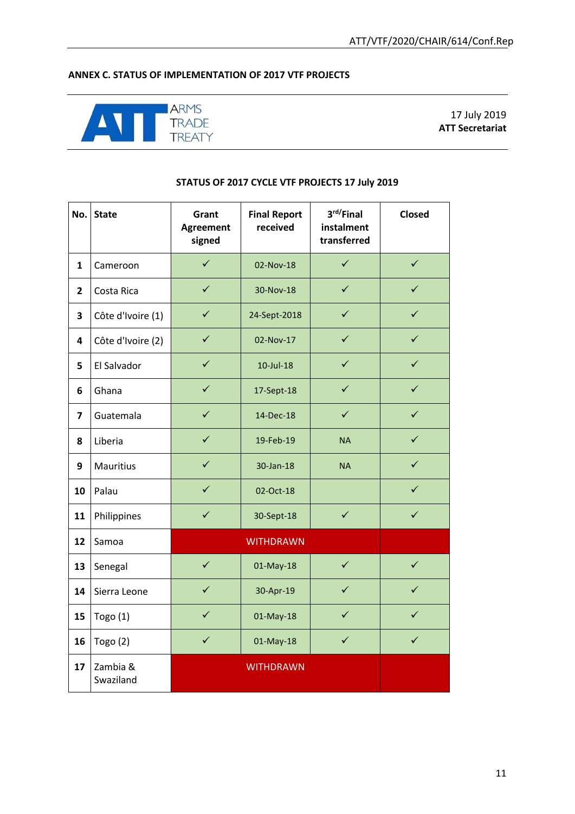## **ANNEX C. STATUS OF IMPLEMENTATION OF 2017 VTF PROJECTS**



17 July 2019 **ATT Secretariat**

#### **STATUS OF 2017 CYCLE VTF PROJECTS 17 July 2019**

| No.            | <b>State</b>          | Grant<br><b>Agreement</b><br>signed | <b>Final Report</b><br>received | 3rd/Final<br>instalment<br>transferred | <b>Closed</b> |
|----------------|-----------------------|-------------------------------------|---------------------------------|----------------------------------------|---------------|
| $\mathbf{1}$   | Cameroon              | $\checkmark$                        | 02-Nov-18                       | $\checkmark$                           | $\checkmark$  |
| $\overline{2}$ | Costa Rica            | $\checkmark$                        | 30-Nov-18                       | $\checkmark$                           | ✓             |
| 3              | Côte d'Ivoire (1)     | $\checkmark$                        | 24-Sept-2018                    | $\checkmark$                           | ✓             |
| 4              | Côte d'Ivoire (2)     | $\checkmark$                        | 02-Nov-17                       | $\checkmark$                           | $\checkmark$  |
| 5              | El Salvador           | $\checkmark$                        | $10$ -Jul- $18$                 | $\checkmark$                           | $\checkmark$  |
| 6              | Ghana                 | $\checkmark$                        | 17-Sept-18                      | $\checkmark$                           | $\checkmark$  |
| $\overline{7}$ | Guatemala             | $\checkmark$                        | 14-Dec-18                       | $\checkmark$                           | $\checkmark$  |
| 8              | Liberia               | $\checkmark$                        | 19-Feb-19                       | <b>NA</b>                              | $\checkmark$  |
| 9              | Mauritius             | $\checkmark$                        | 30-Jan-18                       | <b>NA</b>                              | $\checkmark$  |
| 10             | Palau                 | $\checkmark$                        | 02-Oct-18                       |                                        | $\checkmark$  |
| 11             | Philippines           | $\checkmark$                        | 30-Sept-18                      | $\checkmark$                           | $\checkmark$  |
| 12             | Samoa                 |                                     | <b>WITHDRAWN</b>                |                                        |               |
| 13             | Senegal               | $\checkmark$                        | 01-May-18                       | $\checkmark$                           | $\checkmark$  |
| 14             | Sierra Leone          | $\checkmark$                        | 30-Apr-19                       | $\checkmark$                           | ✓             |
| 15             | Togo $(1)$            | $\checkmark$                        | 01-May-18                       | $\checkmark$                           | ✓             |
| 16             | Togo $(2)$            | $\checkmark$                        | 01-May-18                       | $\checkmark$                           | $\checkmark$  |
| 17             | Zambia &<br>Swaziland |                                     | <b>WITHDRAWN</b>                |                                        |               |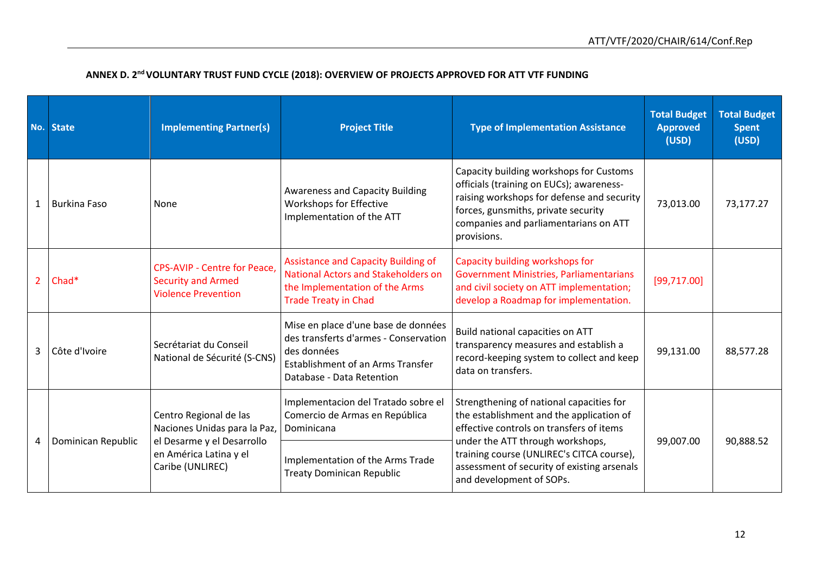|                | No. State           | <b>Implementing Partner(s)</b>                                                                 | <b>Project Title</b>                                                                                                                                          | <b>Type of Implementation Assistance</b>                                                                                                                                                                                         | <b>Total Budget</b><br><b>Approved</b><br>(USD) | <b>Total Budget</b><br><b>Spent</b><br>(USD) |
|----------------|---------------------|------------------------------------------------------------------------------------------------|---------------------------------------------------------------------------------------------------------------------------------------------------------------|----------------------------------------------------------------------------------------------------------------------------------------------------------------------------------------------------------------------------------|-------------------------------------------------|----------------------------------------------|
| $1\vert$       | <b>Burkina Faso</b> | None                                                                                           | <b>Awareness and Capacity Building</b><br>Workshops for Effective<br>Implementation of the ATT                                                                | Capacity building workshops for Customs<br>officials (training on EUCs); awareness-<br>raising workshops for defense and security<br>forces, gunsmiths, private security<br>companies and parliamentarians on ATT<br>provisions. | 73,013.00                                       | 73,177.27                                    |
| 2 <sup>7</sup> | Chad*               | <b>CPS-AVIP - Centre for Peace,</b><br><b>Security and Armed</b><br><b>Violence Prevention</b> | <b>Assistance and Capacity Building of</b><br><b>National Actors and Stakeholders on</b><br>the Implementation of the Arms<br><b>Trade Treaty in Chad</b>     | Capacity building workshops for<br><b>Government Ministries, Parliamentarians</b><br>and civil society on ATT implementation;<br>develop a Roadmap for implementation.                                                           | [99, 717.00]                                    |                                              |
| $\mathbf{3}$   | Côte d'Ivoire       | Secrétariat du Conseil<br>National de Sécurité (S-CNS)                                         | Mise en place d'une base de données<br>des transferts d'armes - Conservation<br>des données<br>Establishment of an Arms Transfer<br>Database - Data Retention | Build national capacities on ATT<br>transparency measures and establish a<br>record-keeping system to collect and keep<br>data on transfers.                                                                                     | 99,131.00                                       | 88,577.28                                    |
|                | Dominican Republic  | Centro Regional de las<br>Naciones Unidas para la Paz,<br>el Desarme y el Desarrollo           | Implementacion del Tratado sobre el<br>Comercio de Armas en República<br>Dominicana                                                                           | Strengthening of national capacities for<br>the establishment and the application of<br>effective controls on transfers of items<br>under the ATT through workshops,                                                             | 99,007.00                                       | 90,888.52                                    |
| 4              |                     | en América Latina y el<br>Caribe (UNLIREC)                                                     | Implementation of the Arms Trade<br><b>Treaty Dominican Republic</b>                                                                                          | training course (UNLIREC's CITCA course),<br>assessment of security of existing arsenals<br>and development of SOPs.                                                                                                             |                                                 |                                              |

# **ANNEX D. 2nd VOLUNTARY TRUST FUND CYCLE (2018): OVERVIEW OF PROJECTS APPROVED FOR ATT VTF FUNDING**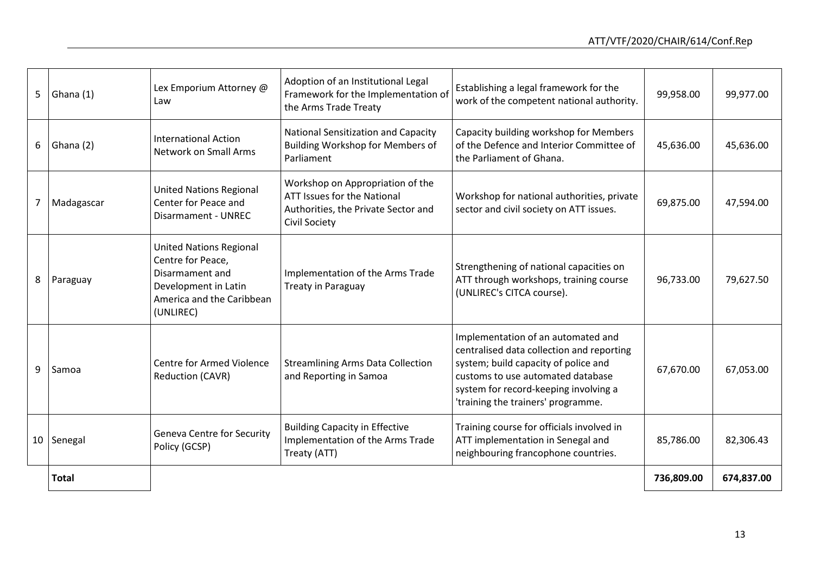|   | 5   Ghana $(1)$ | Lex Emporium Attorney @<br>Law                                                                                                           | Adoption of an Institutional Legal<br>Framework for the Implementation of<br>the Arms Trade Treaty                             | Establishing a legal framework for the<br>work of the competent national authority.                                                                                                                                                         | 99,958.00  | 99,977.00  |
|---|-----------------|------------------------------------------------------------------------------------------------------------------------------------------|--------------------------------------------------------------------------------------------------------------------------------|---------------------------------------------------------------------------------------------------------------------------------------------------------------------------------------------------------------------------------------------|------------|------------|
|   | $6$ Ghana (2)   | <b>International Action</b><br>Network on Small Arms                                                                                     | <b>National Sensitization and Capacity</b><br>Building Workshop for Members of<br>Parliament                                   | Capacity building workshop for Members<br>of the Defence and Interior Committee of<br>the Parliament of Ghana.                                                                                                                              | 45,636.00  | 45,636.00  |
|   | 7   Madagascar  | <b>United Nations Regional</b><br>Center for Peace and<br>Disarmament - UNREC                                                            | Workshop on Appropriation of the<br>ATT Issues for the National<br>Authorities, the Private Sector and<br><b>Civil Society</b> | Workshop for national authorities, private<br>sector and civil society on ATT issues.                                                                                                                                                       | 69,875.00  | 47,594.00  |
|   | 8   Paraguay    | <b>United Nations Regional</b><br>Centre for Peace,<br>Disarmament and<br>Development in Latin<br>America and the Caribbean<br>(UNLIREC) | Implementation of the Arms Trade<br><b>Treaty in Paraguay</b>                                                                  | Strengthening of national capacities on<br>ATT through workshops, training course<br>(UNLIREC's CITCA course).                                                                                                                              | 96,733.00  | 79,627.50  |
| 9 | Samoa           | <b>Centre for Armed Violence</b><br><b>Reduction (CAVR)</b>                                                                              | <b>Streamlining Arms Data Collection</b><br>and Reporting in Samoa                                                             | Implementation of an automated and<br>centralised data collection and reporting<br>system; build capacity of police and<br>customs to use automated database<br>system for record-keeping involving a<br>'training the trainers' programme. | 67,670.00  | 67,053.00  |
|   | 10   Senegal    | <b>Geneva Centre for Security</b><br>Policy (GCSP)                                                                                       | <b>Building Capacity in Effective</b><br>Implementation of the Arms Trade<br>Treaty (ATT)                                      | Training course for officials involved in<br>ATT implementation in Senegal and<br>neighbouring francophone countries.                                                                                                                       | 85,786.00  | 82,306.43  |
|   | <b>Total</b>    |                                                                                                                                          |                                                                                                                                |                                                                                                                                                                                                                                             | 736,809.00 | 674,837.00 |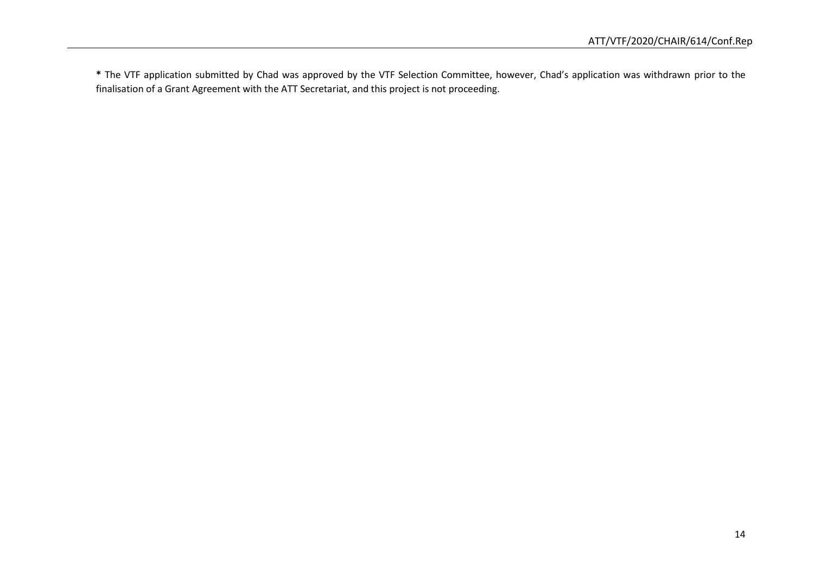**\*** The VTF application submitted by Chad was approved by the VTF Selection Committee, however, Chad's application was withdrawn prior to the finalisation of a Grant Agreement with the ATT Secretariat, and this project is not proceeding.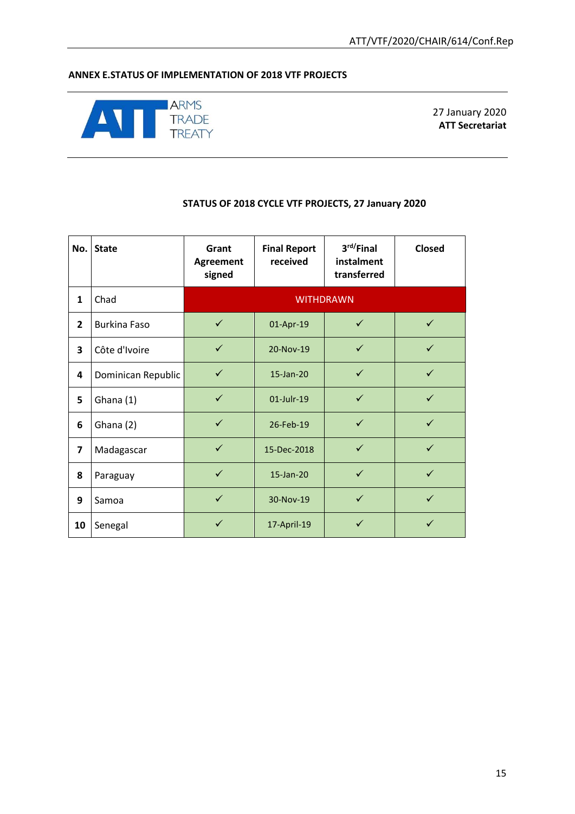## **ANNEX E.STATUS OF IMPLEMENTATION OF 2018 VTF PROJECTS**



27 January 2020 **ATT Secretariat**

## **STATUS OF 2018 CYCLE VTF PROJECTS, 27 January 2020**

| No.            | <b>State</b>        | Grant<br>Agreement<br>signed | <b>Final Report</b><br>received | 3rd/Final<br>instalment<br>transferred | <b>Closed</b> |
|----------------|---------------------|------------------------------|---------------------------------|----------------------------------------|---------------|
| $\mathbf{1}$   | Chad                |                              |                                 | <b>WITHDRAWN</b>                       |               |
| $\overline{2}$ | <b>Burkina Faso</b> | $\checkmark$                 | 01-Apr-19                       | $\checkmark$                           | $\checkmark$  |
| 3              | Côte d'Ivoire       | $\checkmark$                 | 20-Nov-19                       | $\checkmark$                           | $\checkmark$  |
| 4              | Dominican Republic  | $\checkmark$                 | 15-Jan-20                       | $\checkmark$                           | $\checkmark$  |
| 5              | Ghana (1)           | $\checkmark$                 | 01-Julr-19                      | $\checkmark$                           | $\checkmark$  |
| 6              | Ghana (2)           | $\checkmark$                 | 26-Feb-19                       | $\checkmark$                           | $\checkmark$  |
| $\overline{7}$ | Madagascar          | $\checkmark$                 | 15-Dec-2018                     | $\checkmark$                           | $\checkmark$  |
| 8              | Paraguay            | $\checkmark$                 | 15-Jan-20                       | $\checkmark$                           | $\checkmark$  |
| 9              | Samoa               | $\checkmark$                 | 30-Nov-19                       | $\checkmark$                           | $\checkmark$  |
| 10             | Senegal             | $\checkmark$                 | 17-April-19                     | ✓                                      | ✓             |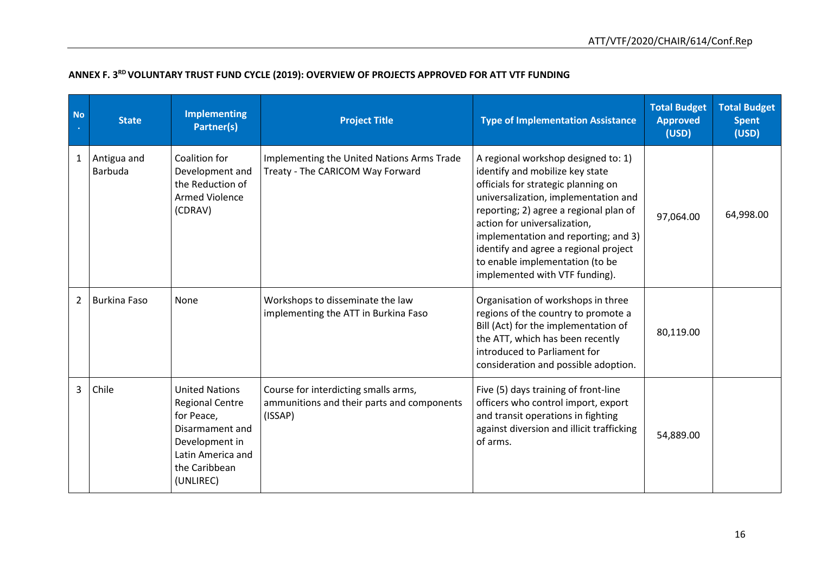| <b>No</b>      | <b>State</b>                  | <b>Implementing</b><br>Partner(s)                                                                                                                     | <b>Project Title</b>                                                                          | <b>Type of Implementation Assistance</b>                                                                                                                                                                                                                                                                                                                                              | <b>Total Budget</b><br><b>Approved</b><br>(USD) | <b>Total Budget</b><br><b>Spent</b><br>(USD) |
|----------------|-------------------------------|-------------------------------------------------------------------------------------------------------------------------------------------------------|-----------------------------------------------------------------------------------------------|---------------------------------------------------------------------------------------------------------------------------------------------------------------------------------------------------------------------------------------------------------------------------------------------------------------------------------------------------------------------------------------|-------------------------------------------------|----------------------------------------------|
| $\mathbf{1}$   | Antigua and<br><b>Barbuda</b> | Coalition for<br>Development and<br>the Reduction of<br><b>Armed Violence</b><br>(CDRAV)                                                              | Implementing the United Nations Arms Trade<br>Treaty - The CARICOM Way Forward                | A regional workshop designed to: 1)<br>identify and mobilize key state<br>officials for strategic planning on<br>universalization, implementation and<br>reporting; 2) agree a regional plan of<br>action for universalization,<br>implementation and reporting; and 3)<br>identify and agree a regional project<br>to enable implementation (to be<br>implemented with VTF funding). | 97,064.00                                       | 64,998.00                                    |
| $\overline{2}$ | <b>Burkina Faso</b>           | None                                                                                                                                                  | Workshops to disseminate the law<br>implementing the ATT in Burkina Faso                      | Organisation of workshops in three<br>regions of the country to promote a<br>Bill (Act) for the implementation of<br>the ATT, which has been recently<br>introduced to Parliament for<br>consideration and possible adoption.                                                                                                                                                         | 80,119.00                                       |                                              |
| $\mathbf{3}$   | Chile                         | <b>United Nations</b><br><b>Regional Centre</b><br>for Peace,<br>Disarmament and<br>Development in<br>Latin America and<br>the Caribbean<br>(UNLIREC) | Course for interdicting smalls arms,<br>ammunitions and their parts and components<br>(ISSAP) | Five (5) days training of front-line<br>officers who control import, export<br>and transit operations in fighting<br>against diversion and illicit trafficking<br>of arms.                                                                                                                                                                                                            | 54,889.00                                       |                                              |

# **ANNEX F. 3RD VOLUNTARY TRUST FUND CYCLE (2019): OVERVIEW OF PROJECTS APPROVED FOR ATT VTF FUNDING**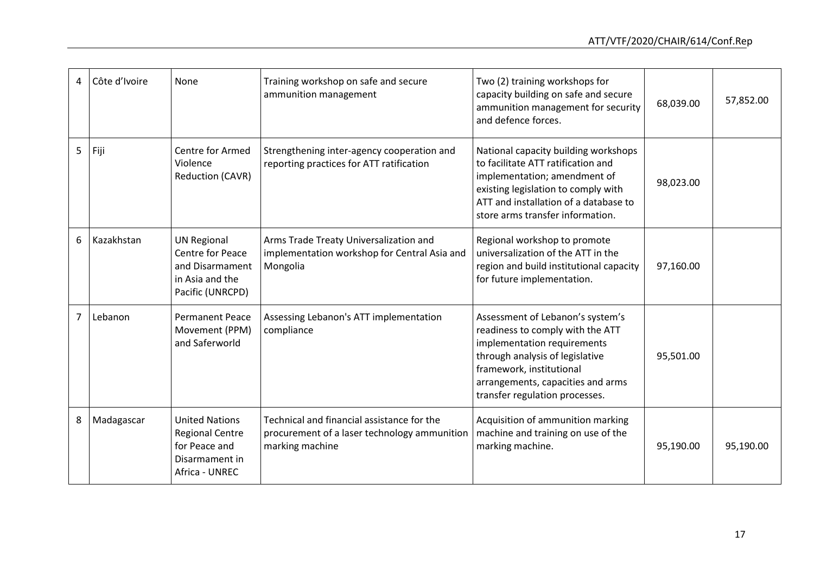| 4              | Côte d'Ivoire | None                                                                                                    | Training workshop on safe and secure<br>ammunition management                                                 | Two (2) training workshops for<br>capacity building on safe and secure<br>ammunition management for security<br>and defence forces.                                                                                                       | 68,039.00 | 57,852.00 |
|----------------|---------------|---------------------------------------------------------------------------------------------------------|---------------------------------------------------------------------------------------------------------------|-------------------------------------------------------------------------------------------------------------------------------------------------------------------------------------------------------------------------------------------|-----------|-----------|
| 5              | Fiji          | Centre for Armed<br>Violence<br>Reduction (CAVR)                                                        | Strengthening inter-agency cooperation and<br>reporting practices for ATT ratification                        | National capacity building workshops<br>to facilitate ATT ratification and<br>implementation; amendment of<br>existing legislation to comply with<br>ATT and installation of a database to<br>store arms transfer information.            | 98,023.00 |           |
| 6              | Kazakhstan    | <b>UN Regional</b><br><b>Centre for Peace</b><br>and Disarmament<br>in Asia and the<br>Pacific (UNRCPD) | Arms Trade Treaty Universalization and<br>implementation workshop for Central Asia and<br>Mongolia            | Regional workshop to promote<br>universalization of the ATT in the<br>region and build institutional capacity<br>for future implementation.                                                                                               | 97,160.00 |           |
| $\overline{7}$ | Lebanon       | <b>Permanent Peace</b><br>Movement (PPM)<br>and Saferworld                                              | Assessing Lebanon's ATT implementation<br>compliance                                                          | Assessment of Lebanon's system's<br>readiness to comply with the ATT<br>implementation requirements<br>through analysis of legislative<br>framework, institutional<br>arrangements, capacities and arms<br>transfer regulation processes. | 95,501.00 |           |
| 8              | Madagascar    | <b>United Nations</b><br><b>Regional Centre</b><br>for Peace and<br>Disarmament in<br>Africa - UNREC    | Technical and financial assistance for the<br>procurement of a laser technology ammunition<br>marking machine | Acquisition of ammunition marking<br>machine and training on use of the<br>marking machine.                                                                                                                                               | 95,190.00 | 95,190.00 |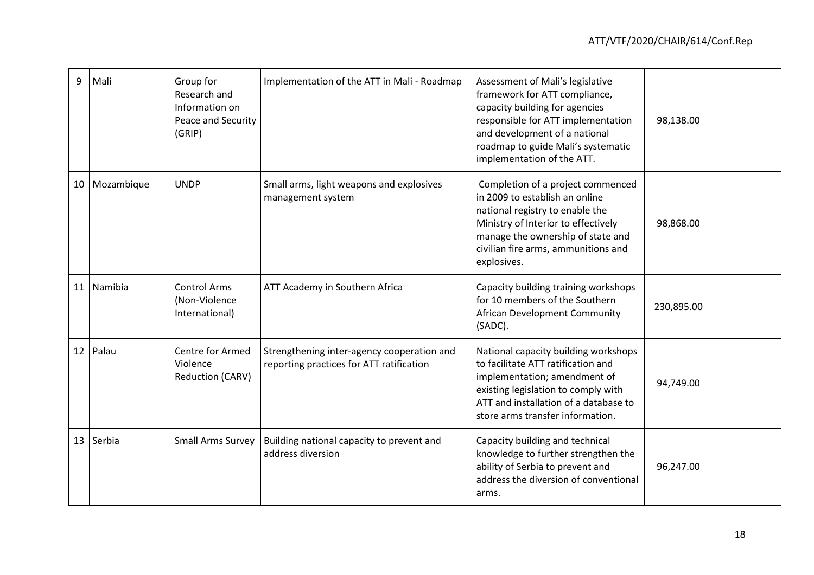| 9  | Mali          | Group for<br>Research and<br>Information on<br>Peace and Security<br>(GRIP) | Implementation of the ATT in Mali - Roadmap                                            | Assessment of Mali's legislative<br>framework for ATT compliance,<br>capacity building for agencies<br>responsible for ATT implementation<br>and development of a national<br>roadmap to guide Mali's systematic<br>implementation of the ATT. | 98,138.00  |  |
|----|---------------|-----------------------------------------------------------------------------|----------------------------------------------------------------------------------------|------------------------------------------------------------------------------------------------------------------------------------------------------------------------------------------------------------------------------------------------|------------|--|
|    | 10 Mozambique | <b>UNDP</b>                                                                 | Small arms, light weapons and explosives<br>management system                          | Completion of a project commenced<br>in 2009 to establish an online<br>national registry to enable the<br>Ministry of Interior to effectively<br>manage the ownership of state and<br>civilian fire arms, ammunitions and<br>explosives.       | 98,868.00  |  |
| 11 | Namibia       | <b>Control Arms</b><br>(Non-Violence<br>International)                      | ATT Academy in Southern Africa                                                         | Capacity building training workshops<br>for 10 members of the Southern<br>African Development Community<br>(SADC).                                                                                                                             | 230,895.00 |  |
|    | $12$ Palau    | Centre for Armed<br>Violence<br>Reduction (CARV)                            | Strengthening inter-agency cooperation and<br>reporting practices for ATT ratification | National capacity building workshops<br>to facilitate ATT ratification and<br>implementation; amendment of<br>existing legislation to comply with<br>ATT and installation of a database to<br>store arms transfer information.                 | 94,749.00  |  |
| 13 | Serbia        | <b>Small Arms Survey</b>                                                    | Building national capacity to prevent and<br>address diversion                         | Capacity building and technical<br>knowledge to further strengthen the<br>ability of Serbia to prevent and<br>address the diversion of conventional<br>arms.                                                                                   | 96,247.00  |  |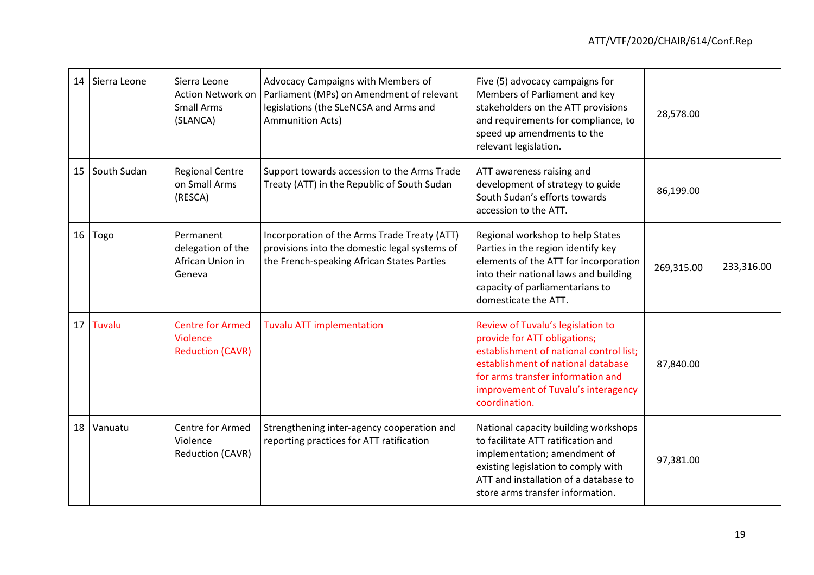| 14 | Sierra Leone   | Sierra Leone<br>Action Network on<br><b>Small Arms</b><br>(SLANCA)    | Advocacy Campaigns with Members of<br>Parliament (MPs) on Amendment of relevant<br>legislations (the SLeNCSA and Arms and<br>Ammunition Acts) | Five (5) advocacy campaigns for<br>Members of Parliament and key<br>stakeholders on the ATT provisions<br>and requirements for compliance, to<br>speed up amendments to the<br>relevant legislation.                                            | 28,578.00  |            |
|----|----------------|-----------------------------------------------------------------------|-----------------------------------------------------------------------------------------------------------------------------------------------|-------------------------------------------------------------------------------------------------------------------------------------------------------------------------------------------------------------------------------------------------|------------|------------|
|    | 15 South Sudan | <b>Regional Centre</b><br>on Small Arms<br>(RESCA)                    | Support towards accession to the Arms Trade<br>Treaty (ATT) in the Republic of South Sudan                                                    | ATT awareness raising and<br>development of strategy to guide<br>South Sudan's efforts towards<br>accession to the ATT.                                                                                                                         | 86,199.00  |            |
| 16 | Togo           | Permanent<br>delegation of the<br>African Union in<br>Geneva          | Incorporation of the Arms Trade Treaty (ATT)<br>provisions into the domestic legal systems of<br>the French-speaking African States Parties   | Regional workshop to help States<br>Parties in the region identify key<br>elements of the ATT for incorporation<br>into their national laws and building<br>capacity of parliamentarians to<br>domesticate the ATT.                             | 269,315.00 | 233,316.00 |
| 17 | Tuvalu         | <b>Centre for Armed</b><br><b>Violence</b><br><b>Reduction (CAVR)</b> | <b>Tuvalu ATT implementation</b>                                                                                                              | Review of Tuvalu's legislation to<br>provide for ATT obligations;<br>establishment of national control list:<br>establishment of national database<br>for arms transfer information and<br>improvement of Tuvalu's interagency<br>coordination. | 87,840.00  |            |
|    | 18 Vanuatu     | Centre for Armed<br>Violence<br>Reduction (CAVR)                      | Strengthening inter-agency cooperation and<br>reporting practices for ATT ratification                                                        | National capacity building workshops<br>to facilitate ATT ratification and<br>implementation; amendment of<br>existing legislation to comply with<br>ATT and installation of a database to<br>store arms transfer information.                  | 97,381.00  |            |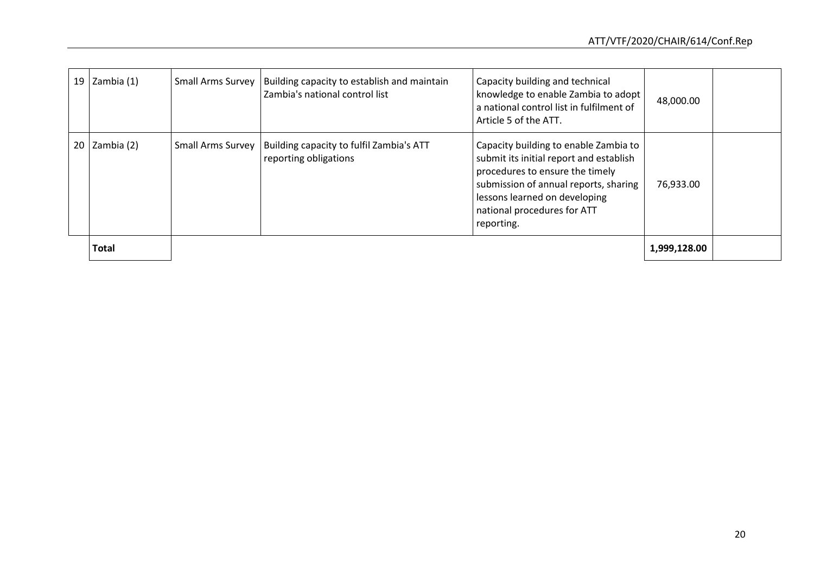| 19 Zambia $(1)$ | <b>Small Arms Survey</b> | Building capacity to establish and maintain<br>Zambia's national control list | Capacity building and technical<br>knowledge to enable Zambia to adopt<br>a national control list in fulfilment of<br>Article 5 of the ATT.                                                                                                | 48,000.00    |  |
|-----------------|--------------------------|-------------------------------------------------------------------------------|--------------------------------------------------------------------------------------------------------------------------------------------------------------------------------------------------------------------------------------------|--------------|--|
| 20 Zambia (2)   | <b>Small Arms Survey</b> | Building capacity to fulfil Zambia's ATT<br>reporting obligations             | Capacity building to enable Zambia to<br>submit its initial report and establish<br>procedures to ensure the timely<br>submission of annual reports, sharing<br>lessons learned on developing<br>national procedures for ATT<br>reporting. | 76,933.00    |  |
| <b>Total</b>    |                          |                                                                               |                                                                                                                                                                                                                                            | 1,999,128.00 |  |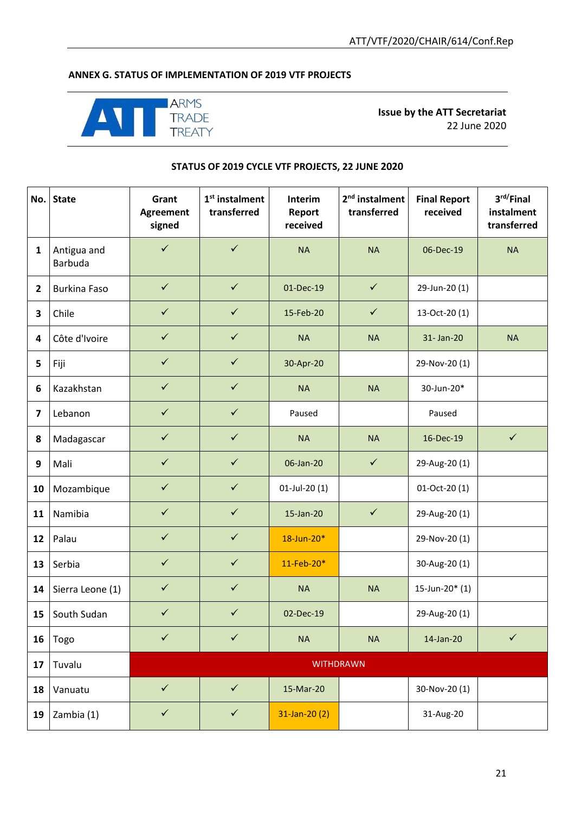## **ANNEX G. STATUS OF IMPLEMENTATION OF 2019 VTF PROJECTS**



**Issue by the ATT Secretariat** 22 June 2020

#### **STATUS OF 2019 CYCLE VTF PROJECTS, 22 JUNE 2020**

| No.                     | <b>State</b>           | Grant<br><b>Agreement</b><br>signed | $1st$ instalment<br>transferred | Interim<br><b>Report</b><br>received | 2 <sup>nd</sup> instalment<br>transferred | <b>Final Report</b><br>received | 3 <sup>rd</sup> /Final<br>instalment<br>transferred |
|-------------------------|------------------------|-------------------------------------|---------------------------------|--------------------------------------|-------------------------------------------|---------------------------------|-----------------------------------------------------|
| $\mathbf{1}$            | Antigua and<br>Barbuda | $\checkmark$                        | $\checkmark$                    | <b>NA</b>                            | <b>NA</b>                                 | 06-Dec-19                       | <b>NA</b>                                           |
| $\overline{2}$          | <b>Burkina Faso</b>    | $\checkmark$                        | $\checkmark$                    | 01-Dec-19                            | $\checkmark$                              | 29-Jun-20 (1)                   |                                                     |
| 3                       | Chile                  | $\checkmark$                        | $\checkmark$                    | 15-Feb-20                            | $\checkmark$                              | 13-Oct-20 (1)                   |                                                     |
| $\overline{\mathbf{4}}$ | Côte d'Ivoire          | $\checkmark$                        | $\checkmark$                    | <b>NA</b>                            | <b>NA</b>                                 | 31-Jan-20                       | <b>NA</b>                                           |
| 5                       | Fiji                   | $\checkmark$                        | $\checkmark$                    | 30-Apr-20                            |                                           | 29-Nov-20 (1)                   |                                                     |
| 6                       | Kazakhstan             | $\checkmark$                        | $\checkmark$                    | <b>NA</b>                            | <b>NA</b>                                 | 30-Jun-20*                      |                                                     |
| $\overline{\mathbf{z}}$ | Lebanon                | $\checkmark$                        | $\checkmark$                    | Paused                               |                                           | Paused                          |                                                     |
| 8                       | Madagascar             | $\checkmark$                        | $\checkmark$                    | <b>NA</b>                            | <b>NA</b>                                 | 16-Dec-19                       | $\checkmark$                                        |
| 9                       | Mali                   | $\checkmark$                        | $\checkmark$                    | 06-Jan-20                            | $\checkmark$                              | 29-Aug-20 (1)                   |                                                     |
| 10                      | Mozambique             | $\checkmark$                        | $\checkmark$                    | 01-Jul-20 (1)                        |                                           | $01-Oct-20(1)$                  |                                                     |
| 11                      | Namibia                | $\checkmark$                        | $\checkmark$                    | 15-Jan-20                            | $\checkmark$                              | 29-Aug-20(1)                    |                                                     |
| 12                      | Palau                  | $\checkmark$                        | $\checkmark$                    | 18-Jun-20*                           |                                           | 29-Nov-20 (1)                   |                                                     |
| 13                      | Serbia                 | $\checkmark$                        | $\checkmark$                    | 11-Feb-20*                           |                                           | 30-Aug-20 (1)                   |                                                     |
| 14                      | Sierra Leone (1)       | $\checkmark$                        | $\checkmark$                    | <b>NA</b>                            | <b>NA</b>                                 | 15-Jun-20 $*(1)$                |                                                     |
| 15                      | South Sudan            | $\checkmark$                        | $\checkmark$                    | 02-Dec-19                            |                                           | 29-Aug-20 (1)                   |                                                     |
| 16                      | Togo                   | $\checkmark$                        | $\checkmark$                    | <b>NA</b>                            | <b>NA</b>                                 | 14-Jan-20                       | $\checkmark$                                        |
| 17                      | Tuvalu                 |                                     |                                 |                                      | <b>WITHDRAWN</b>                          |                                 |                                                     |
| 18                      | Vanuatu                | $\checkmark$                        | $\checkmark$                    | 15-Mar-20                            |                                           | 30-Nov-20 (1)                   |                                                     |
| 19                      | Zambia (1)             | $\checkmark$                        | $\checkmark$                    | $31$ -Jan-20 $(2)$                   |                                           | 31-Aug-20                       |                                                     |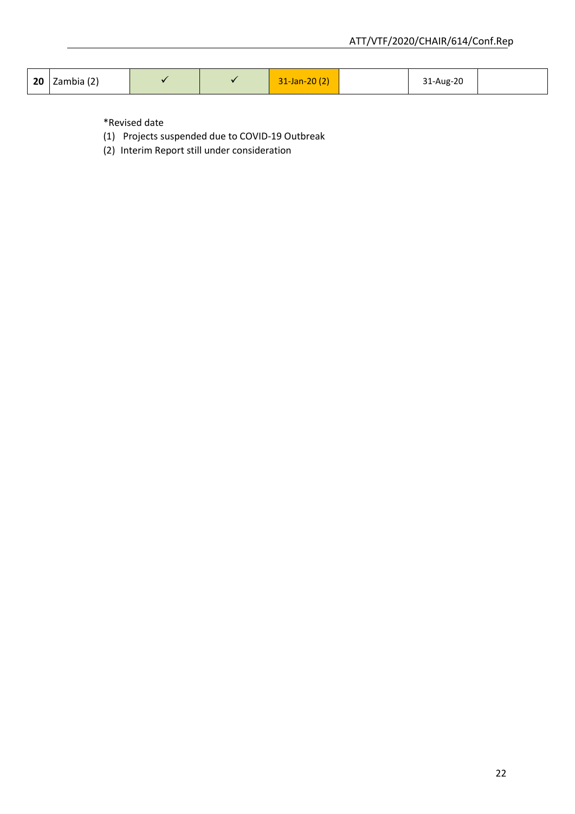| $\vert$ 20 $\vert$ Zambia (2) |  | $31$ -Jan-20 $(2)$ | 31-Aug-20 |  |
|-------------------------------|--|--------------------|-----------|--|
|                               |  |                    |           |  |

\*Revised date

- (1) Projects suspended due to COVID-19 Outbreak
- (2) Interim Report still under consideration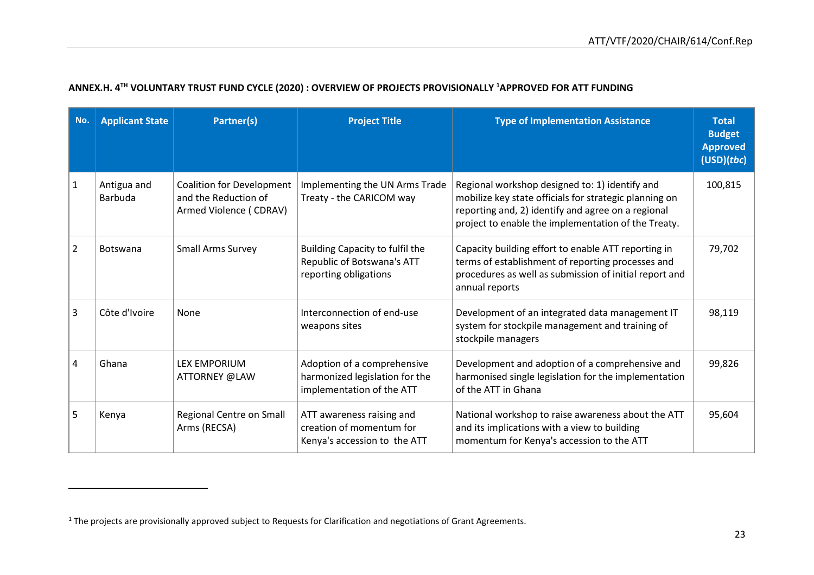|  |  |  |  | ANNEX.H. 4 <sup>TH</sup> VOLUNTARY TRUST FUND CYCLE (2020) : OVERVIEW OF PROJECTS PROVISIONALLY <sup>1</sup> APPROVED FOR ATT FUNDING |
|--|--|--|--|---------------------------------------------------------------------------------------------------------------------------------------|
|--|--|--|--|---------------------------------------------------------------------------------------------------------------------------------------|

| No.            | <b>Applicant State</b>        | <b>Partner(s)</b>                                                                  | <b>Project Title</b>                                                                       | <b>Type of Implementation Assistance</b>                                                                                                                                                                              | <b>Total</b><br><b>Budget</b><br><b>Approved</b><br>(USD)(tbc) |
|----------------|-------------------------------|------------------------------------------------------------------------------------|--------------------------------------------------------------------------------------------|-----------------------------------------------------------------------------------------------------------------------------------------------------------------------------------------------------------------------|----------------------------------------------------------------|
| $\mathbf{1}$   | Antigua and<br><b>Barbuda</b> | <b>Coalition for Development</b><br>and the Reduction of<br>Armed Violence (CDRAV) | Implementing the UN Arms Trade<br>Treaty - the CARICOM way                                 | Regional workshop designed to: 1) identify and<br>mobilize key state officials for strategic planning on<br>reporting and, 2) identify and agree on a regional<br>project to enable the implementation of the Treaty. | 100,815                                                        |
| $\overline{2}$ | <b>Botswana</b>               | <b>Small Arms Survey</b>                                                           | Building Capacity to fulfil the<br>Republic of Botswana's ATT<br>reporting obligations     | Capacity building effort to enable ATT reporting in<br>terms of establishment of reporting processes and<br>procedures as well as submission of initial report and<br>annual reports                                  | 79,702                                                         |
| $\overline{3}$ | Côte d'Ivoire                 | None                                                                               | Interconnection of end-use<br>weapons sites                                                | Development of an integrated data management IT<br>system for stockpile management and training of<br>stockpile managers                                                                                              | 98,119                                                         |
| 4              | Ghana                         | <b>LEX EMPORIUM</b><br>ATTORNEY @LAW                                               | Adoption of a comprehensive<br>harmonized legislation for the<br>implementation of the ATT | Development and adoption of a comprehensive and<br>harmonised single legislation for the implementation<br>of the ATT in Ghana                                                                                        | 99,826                                                         |
| 5              | Kenya                         | Regional Centre on Small<br>Arms (RECSA)                                           | ATT awareness raising and<br>creation of momentum for<br>Kenya's accession to the ATT      | National workshop to raise awareness about the ATT<br>and its implications with a view to building<br>momentum for Kenya's accession to the ATT                                                                       | 95,604                                                         |

 $\overline{\phantom{a}}$ 

 $1$  The projects are provisionally approved subject to Requests for Clarification and negotiations of Grant Agreements.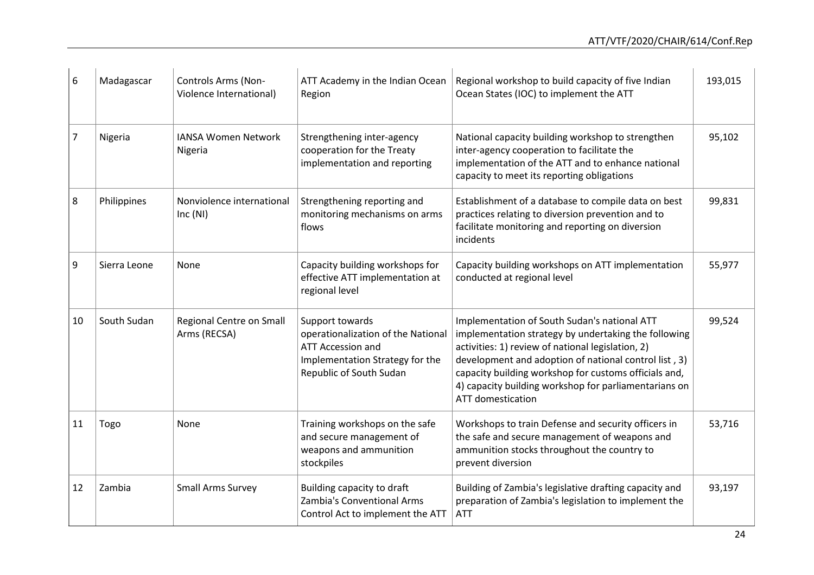| 6  | Madagascar   | Controls Arms (Non-<br>Violence International) | ATT Academy in the Indian Ocean<br>Region                                                                                                | Regional workshop to build capacity of five Indian<br>Ocean States (IOC) to implement the ATT                                                                                                                                                                                                                                                                    | 193,015 |
|----|--------------|------------------------------------------------|------------------------------------------------------------------------------------------------------------------------------------------|------------------------------------------------------------------------------------------------------------------------------------------------------------------------------------------------------------------------------------------------------------------------------------------------------------------------------------------------------------------|---------|
| 7  | Nigeria      | <b>IANSA Women Network</b><br>Nigeria          | Strengthening inter-agency<br>cooperation for the Treaty<br>implementation and reporting                                                 | National capacity building workshop to strengthen<br>inter-agency cooperation to facilitate the<br>implementation of the ATT and to enhance national<br>capacity to meet its reporting obligations                                                                                                                                                               | 95,102  |
| 8  | Philippines  | Nonviolence international<br>Inc(NI)           | Strengthening reporting and<br>monitoring mechanisms on arms<br>flows                                                                    | Establishment of a database to compile data on best<br>practices relating to diversion prevention and to<br>facilitate monitoring and reporting on diversion<br>incidents                                                                                                                                                                                        | 99,831  |
| 9  | Sierra Leone | None                                           | Capacity building workshops for<br>effective ATT implementation at<br>regional level                                                     | Capacity building workshops on ATT implementation<br>conducted at regional level                                                                                                                                                                                                                                                                                 | 55,977  |
| 10 | South Sudan  | Regional Centre on Small<br>Arms (RECSA)       | Support towards<br>operationalization of the National<br>ATT Accession and<br>Implementation Strategy for the<br>Republic of South Sudan | Implementation of South Sudan's national ATT<br>implementation strategy by undertaking the following<br>activities: 1) review of national legislation, 2)<br>development and adoption of national control list, 3)<br>capacity building workshop for customs officials and,<br>4) capacity building workshop for parliamentarians on<br><b>ATT domestication</b> | 99,524  |
| 11 | Togo         | None                                           | Training workshops on the safe<br>and secure management of<br>weapons and ammunition<br>stockpiles                                       | Workshops to train Defense and security officers in<br>the safe and secure management of weapons and<br>ammunition stocks throughout the country to<br>prevent diversion                                                                                                                                                                                         | 53,716  |
| 12 | Zambia       | <b>Small Arms Survey</b>                       | Building capacity to draft<br>Zambia's Conventional Arms<br>Control Act to implement the ATT                                             | Building of Zambia's legislative drafting capacity and<br>preparation of Zambia's legislation to implement the<br><b>ATT</b>                                                                                                                                                                                                                                     | 93,197  |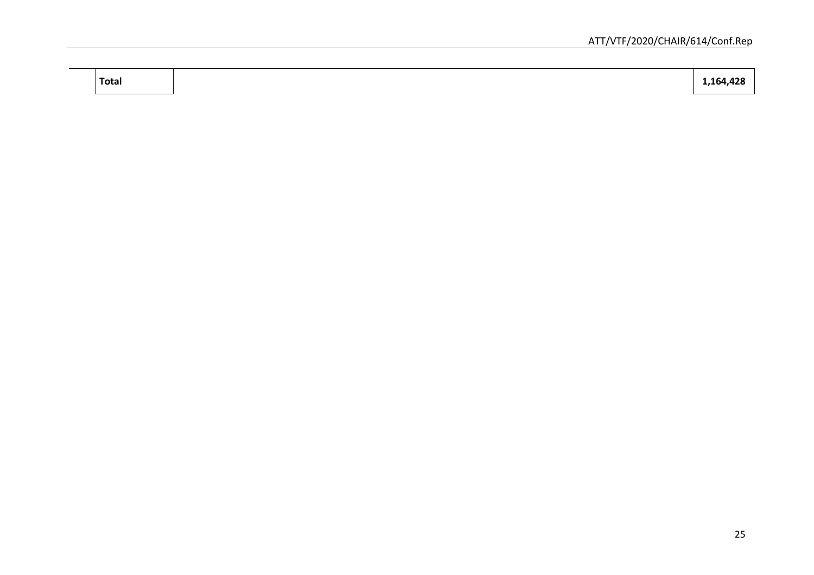**Total 1,164,428**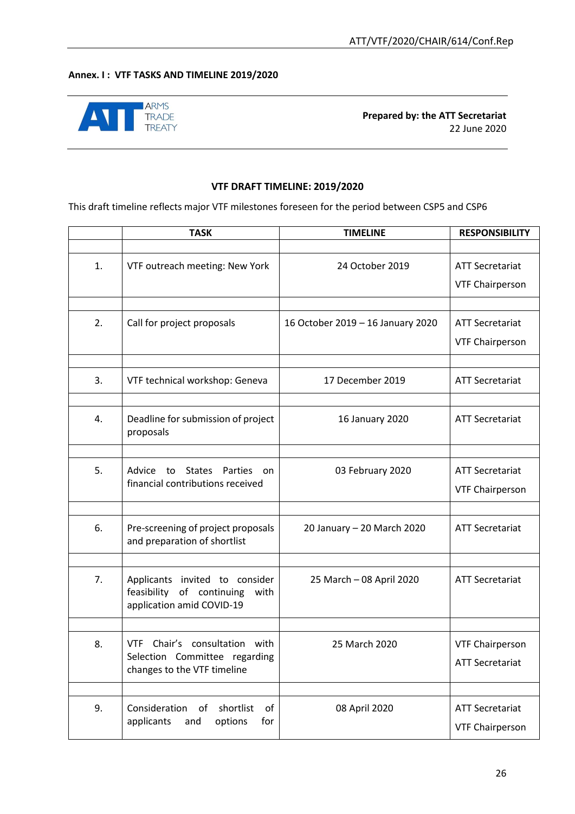#### **Annex. I : VTF TASKS AND TIMELINE 2019/2020**



#### **VTF DRAFT TIMELINE: 2019/2020**

This draft timeline reflects major VTF milestones foreseen for the period between CSP5 and CSP6

|    | <b>TASK</b>                                                                                         | <b>TIMELINE</b>                   | <b>RESPONSIBILITY</b>  |
|----|-----------------------------------------------------------------------------------------------------|-----------------------------------|------------------------|
|    |                                                                                                     |                                   |                        |
| 1. | VTF outreach meeting: New York                                                                      | 24 October 2019                   | <b>ATT Secretariat</b> |
|    |                                                                                                     |                                   | <b>VTF Chairperson</b> |
|    |                                                                                                     |                                   |                        |
| 2. | Call for project proposals                                                                          | 16 October 2019 - 16 January 2020 | <b>ATT Secretariat</b> |
|    |                                                                                                     |                                   | <b>VTF Chairperson</b> |
|    |                                                                                                     |                                   |                        |
| 3. | VTF technical workshop: Geneva                                                                      | 17 December 2019                  | <b>ATT Secretariat</b> |
|    |                                                                                                     |                                   |                        |
| 4. | Deadline for submission of project<br>proposals                                                     | 16 January 2020                   | <b>ATT Secretariat</b> |
|    |                                                                                                     |                                   |                        |
| 5. | Advice<br><b>States</b><br>Parties<br>to<br>on                                                      | 03 February 2020                  | <b>ATT Secretariat</b> |
|    | financial contributions received                                                                    |                                   | <b>VTF Chairperson</b> |
|    |                                                                                                     |                                   |                        |
| 6. | Pre-screening of project proposals<br>and preparation of shortlist                                  | 20 January - 20 March 2020        | <b>ATT Secretariat</b> |
|    |                                                                                                     |                                   |                        |
| 7. | Applicants invited to consider<br>feasibility<br>of continuing<br>with<br>application amid COVID-19 | 25 March - 08 April 2020          | <b>ATT Secretariat</b> |
|    |                                                                                                     |                                   |                        |
| 8. | Chair's consultation with<br><b>VTF</b>                                                             | 25 March 2020                     | <b>VTF Chairperson</b> |
|    | Selection Committee regarding<br>changes to the VTF timeline                                        |                                   | <b>ATT Secretariat</b> |
|    |                                                                                                     |                                   |                        |
| 9. | shortlist<br>Consideration<br>of<br>of                                                              | 08 April 2020                     | <b>ATT Secretariat</b> |
|    | options<br>applicants<br>for<br>and                                                                 |                                   | <b>VTF Chairperson</b> |